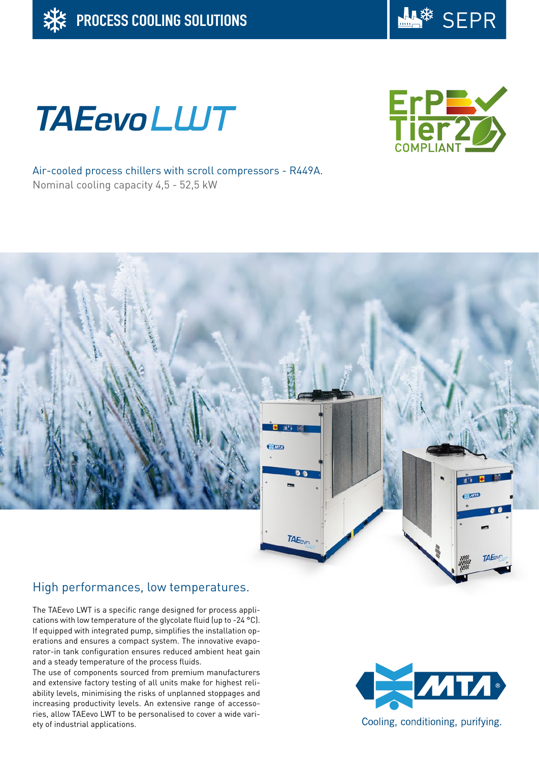





Air-cooled process chillers with scroll compressors - R449A. Nominal cooling capacity 4,5 - 52,5 kW



# High performances, low temperatures.

The TAEevo LWT is a specific range designed for process applications with low temperature of the glycolate fluid (up to -24 °C). If equipped with integrated pump, simplifies the installation operations and ensures a compact system. The innovative evaporator-in tank configuration ensures reduced ambient heat gain and a steady temperature of the process fluids.

The use of components sourced from premium manufacturers and extensive factory testing of all units make for highest reliability levels, minimising the risks of unplanned stoppages and increasing productivity levels. An extensive range of accessories, allow TAEevo LWT to be personalised to cover a wide variety of industrial applications.